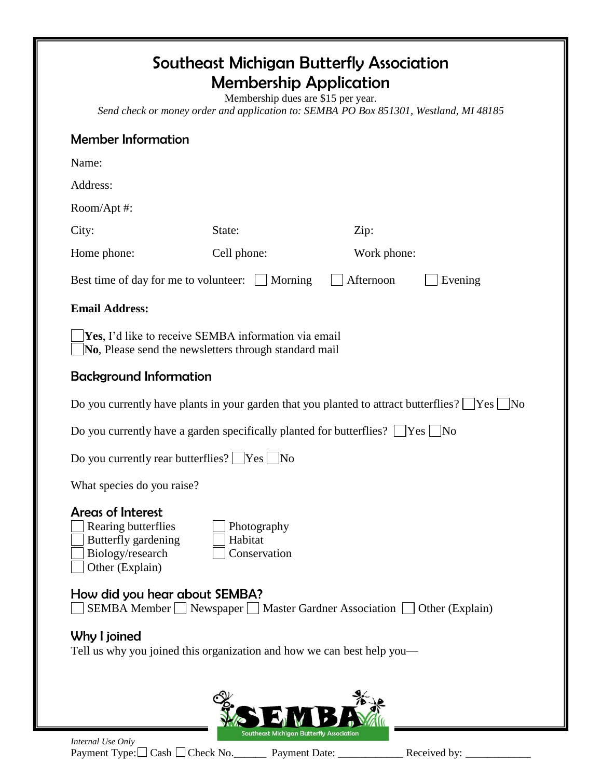## Southeast Michigan Butterfly Association Membership Application

Membership dues are \$15 per year. *Send check or money order and application to: SEMBA PO Box 851301, Westland, MI 48185*

## Member Information

| <b>INGHINGLITIONITIQUUI</b>                                                                                                                             |                                          |             |  |  |
|---------------------------------------------------------------------------------------------------------------------------------------------------------|------------------------------------------|-------------|--|--|
| Name:                                                                                                                                                   |                                          |             |  |  |
| Address:                                                                                                                                                |                                          |             |  |  |
| Room/Apt#:                                                                                                                                              |                                          |             |  |  |
| City:                                                                                                                                                   | State:                                   | Zip:        |  |  |
| Home phone:                                                                                                                                             | Cell phone:                              | Work phone: |  |  |
| Afternoon<br>Evening<br>Best time of day for me to volunteer:<br>Morning                                                                                |                                          |             |  |  |
| <b>Email Address:</b>                                                                                                                                   |                                          |             |  |  |
| <b>Yes</b> , I'd like to receive SEMBA information via email<br>No, Please send the newsletters through standard mail                                   |                                          |             |  |  |
| <b>Background Information</b>                                                                                                                           |                                          |             |  |  |
| Do you currently have plants in your garden that you planted to attract butterflies? $\Box$ Yes $\Box$<br>$\overline{N_{O}}$                            |                                          |             |  |  |
| Do you currently have a garden specifically planted for butterflies? $\Box$ Yes $\Box$ No                                                               |                                          |             |  |  |
| Do you currently rear butterflies? $\Box$ Yes $\Box$ No                                                                                                 |                                          |             |  |  |
| What species do you raise?                                                                                                                              |                                          |             |  |  |
| <b>Areas of Interest</b><br>Rearing butterflies<br>Photography<br>Butterfly gardening<br>Habitat<br>Biology/research<br>Conservation<br>Other (Explain) |                                          |             |  |  |
| How did you hear about SEMBA?<br>SEMBA Member   Newspaper   Master Gardner Association   Other (Explain)                                                |                                          |             |  |  |
| Why I joined<br>Tell us why you joined this organization and how we can best help you—                                                                  |                                          |             |  |  |
|                                                                                                                                                         | Southeast Michigan Butterfly Association |             |  |  |
| Internal Use Only                                                                                                                                       |                                          |             |  |  |

Payment Type: $\Box$  Cash  $\Box$  Check No. \_\_\_\_\_\_\_\_ Payment Date: \_\_\_\_\_\_\_\_\_\_\_\_\_ Received by: \_\_\_\_\_\_\_\_\_\_\_\_\_\_\_\_\_\_\_\_\_\_\_\_\_\_\_\_